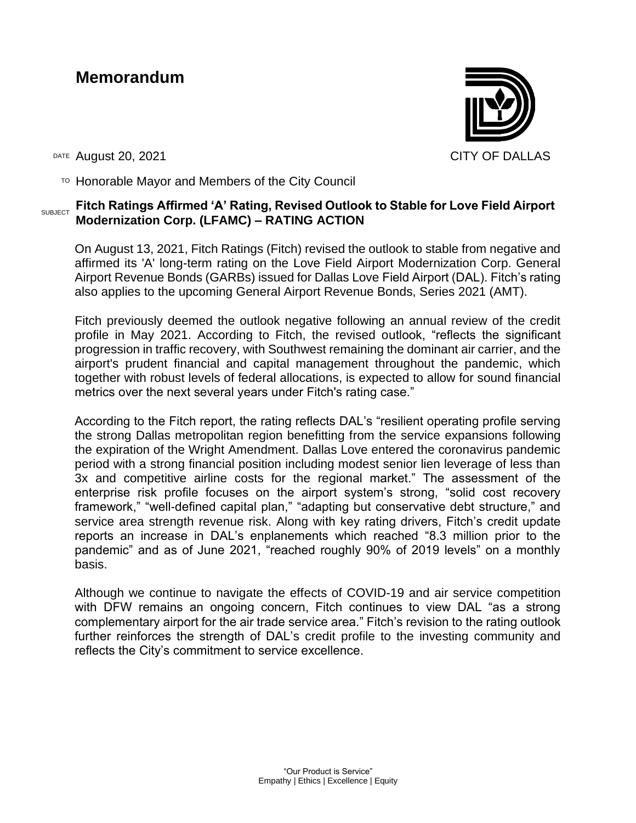# **Memorandum**



DATE August 20, 2021 CITY OF DALLAS

 $T$ <sup>O</sup> Honorable Mayor and Members of the City Council

#### SUBJECT **Fitch Ratings Affirmed 'A' Rating, Revised Outlook to Stable for Love Field Airport Modernization Corp. (LFAMC) – RATING ACTION**

On August 13, 2021, Fitch Ratings (Fitch) revised the outlook to stable from negative and affirmed its 'A' long-term rating on the Love Field Airport Modernization Corp. General Airport Revenue Bonds (GARBs) issued for Dallas Love Field Airport (DAL). Fitch's rating also applies to the upcoming General Airport Revenue Bonds, Series 2021 (AMT).

Fitch previously deemed the outlook negative following an annual review of the credit profile in May 2021. According to Fitch, the revised outlook, "reflects the significant progression in traffic recovery, with Southwest remaining the dominant air carrier, and the airport's prudent financial and capital management throughout the pandemic, which together with robust levels of federal allocations, is expected to allow for sound financial metrics over the next several years under Fitch's rating case."

According to the Fitch report, the rating reflects DAL's "resilient operating profile serving the strong Dallas metropolitan region benefitting from the service expansions following the expiration of the Wright Amendment. Dallas Love entered the coronavirus pandemic period with a strong financial position including modest senior lien leverage of less than 3x and competitive airline costs for the regional market." The assessment of the enterprise risk profile focuses on the airport system's strong, "solid cost recovery framework," "well-defined capital plan," "adapting but conservative debt structure," and service area strength revenue risk. Along with key rating drivers, Fitch's credit update reports an increase in DAL's enplanements which reached "8.3 million prior to the pandemic" and as of June 2021, "reached roughly 90% of 2019 levels" on a monthly basis.

Although we continue to navigate the effects of COVID-19 and air service competition with DFW remains an ongoing concern, Fitch continues to view DAL "as a strong complementary airport for the air trade service area." Fitch's revision to the rating outlook further reinforces the strength of DAL's credit profile to the investing community and reflects the City's commitment to service excellence.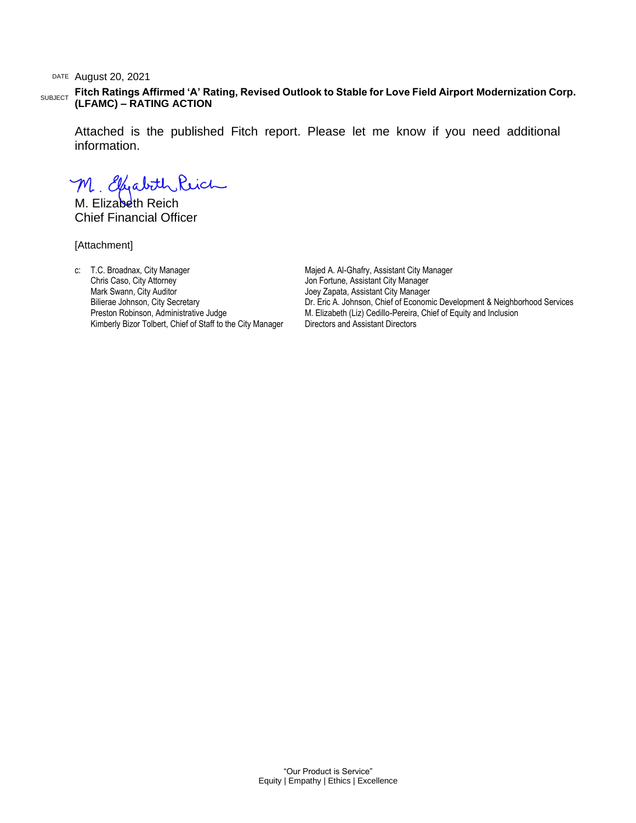DATE August 20, 2021

SUBJECT **Fitch Ratings Affirmed 'A' Rating, Revised Outlook to Stable for Love Field Airport Modernization Corp. (LFAMC) – RATING ACTION**

Attached is the published Fitch report. Please let me know if you need additional information.

M. Elfabith Reich

M. Flizabeth Reich Chief Financial Officer

[Attachment]

c: T.C. Broadnax, City Manager Chris Caso, City Attorney Mark Swann, City Auditor Bilierae Johnson, City Secretary Preston Robinson, Administrative Judge Kimberly Bizor Tolbert, Chief of Staff to the City Manager Majed A. Al-Ghafry, Assistant City Manager Jon Fortune, Assistant City Manager Joey Zapata, Assistant City Manager Dr. Eric A. Johnson, Chief of Economic Development & Neighborhood Services M. Elizabeth (Liz) Cedillo-Pereira, Chief of Equity and Inclusion Directors and Assistant Directors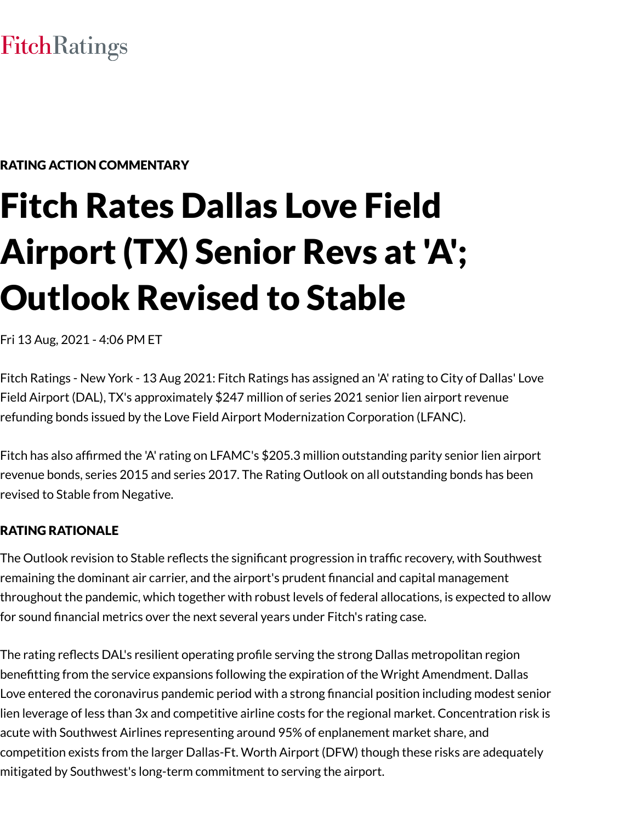# **FitchRatings**

# RATING ACTION COMMENTARY

# Fitch Rates Dallas Love Field Airport (TX) Senior Revs at 'A'; Outlook Revised to Stable

Fri 13 Aug, 2021 - 4:06 PM ET

Fitch Ratings - New York - 13 Aug 2021: Fitch Ratings has assigned an 'A' rating to City of Dallas' Love Field Airport (DAL), TX's approximately \$247 million of series 2021 senior lien airport revenue refunding bonds issued by the Love Field Airport Modernization Corporation (LFANC).

Fitch has also affirmed the 'A' rating on LFAMC's \$205.3 million outstanding parity senior lien airport revenue bonds, series 2015 and series 2017. The Rating Outlook on all outstanding bonds has been revised to Stable from Negative.

#### RATING RATIONALE

The Outlook revision to Stable reflects the significant progression in traffic recovery, with Southwest remaining the dominant air carrier, and the airport's prudent financial and capital management throughout the pandemic, which together with robust levels of federal allocations, is expected to allow for sound financial metrics over the next several years under Fitch's rating case.

The rating reflects DAL's resilient operating profile serving the strong Dallas metropolitan region benefitting from the service expansions following the expiration of the Wright Amendment. Dallas Love entered the coronavirus pandemic period with a strong financial position including modest senior lien leverage of less than 3x and competitive airline costs for the regional market. Concentration risk is acute with Southwest Airlines representing around 95% of enplanement market share, and competition exists from the larger Dallas-Ft. Worth Airport (DFW) though these risks are adequately mitigated by Southwest's long-term commitment to serving the airport.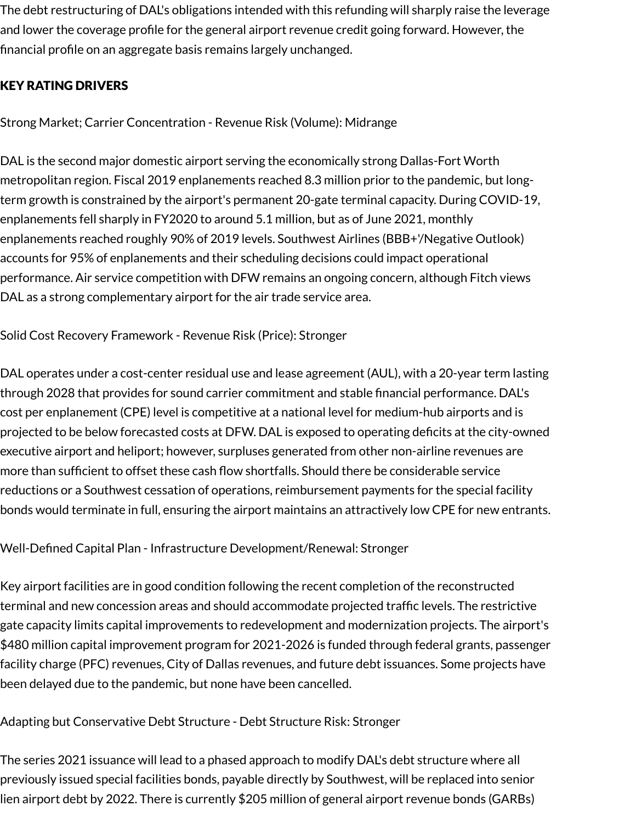The debt restructuring of DAL's obligations intended with this refunding will sharply raise the leverage and lower the coverage profile for the general airport revenue credit going forward. However, the financial profile on an aggregate basis remains largely unchanged.

# KEY RATING DRIVERS

Strong Market; Carrier Concentration - Revenue Risk (Volume): Midrange

DAL is the second major domestic airport serving the economically strong Dallas-Fort Worth metropolitan region. Fiscal 2019 enplanements reached 8.3 million prior to the pandemic, but longterm growth is constrained by the airport's permanent 20-gate terminal capacity. During COVID-19, enplanements fell sharply in FY2020 to around 5.1 million, but as of June 2021, monthly enplanements reached roughly 90% of 2019 levels. Southwest Airlines (BBB+'/Negative Outlook) accounts for 95% of enplanements and their scheduling decisions could impact operational performance. Air service competition with DFW remains an ongoing concern, although Fitch views DAL as a strong complementary airport for the air trade service area.

Solid Cost Recovery Framework - Revenue Risk (Price): Stronger

DAL operates under a cost-center residual use and lease agreement (AUL), with a 20-year term lasting through 2028 that provides for sound carrier commitment and stable financial performance. DAL's cost per enplanement (CPE) level is competitive at a national level for medium-hub airports and is projected to be below forecasted costs at DFW. DAL is exposed to operating deficits at the city-owned executive airport and heliport; however, surpluses generated from other non-airline revenues are more than sufficient to offset these cash flow shortfalls. Should there be considerable service reductions or a Southwest cessation of operations, reimbursement payments for the special facility bonds would terminate in full, ensuring the airport maintains an attractively low CPE for new entrants.

Well-Defined Capital Plan - Infrastructure Development/Renewal: Stronger

Key airport facilities are in good condition following the recent completion of the reconstructed terminal and new concession areas and should accommodate projected traffic levels. The restrictive gate capacity limits capital improvements to redevelopment and modernization projects. The airport's \$480 million capital improvement program for 2021-2026 is funded through federal grants, passenger facility charge (PFC) revenues, City of Dallas revenues, and future debt issuances. Some projects have been delayed due to the pandemic, but none have been cancelled.

Adapting but Conservative Debt Structure - Debt Structure Risk: Stronger

The series 2021 issuance will lead to a phased approach to modify DAL's debt structure where all previously issued special facilities bonds, payable directly by Southwest, will be replaced into senior lien airport debt by 2022. There is currently \$205 million of general airport revenue bonds (GARBs)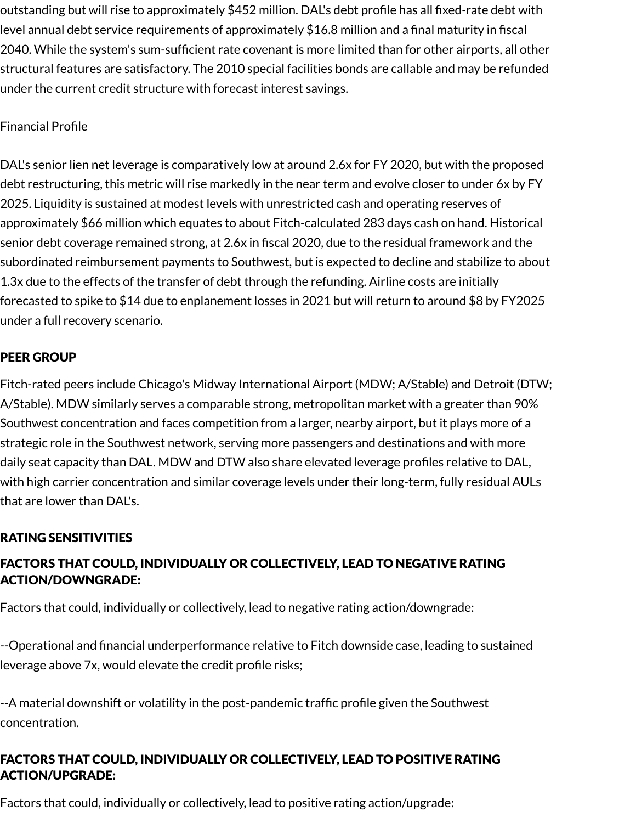outstanding but will rise to approximately \$452 million. DAL's debt profile has all fixed-rate debt with level annual debt service requirements of approximately \$16.8 million and a final maturity in fiscal 2040. While the system's sum-sufficient rate covenant is more limited than for other airports, all other structural features are satisfactory. The 2010 special facilities bonds are callable and may be refunded under the current credit structure with forecast interest savings.

# Financial Profile

DAL's senior lien net leverage is comparatively low at around 2.6x for FY 2020, but with the proposed debt restructuring, this metric will rise markedly in the near term and evolve closer to under 6x by FY 2025. Liquidity is sustained at modest levels with unrestricted cash and operating reserves of approximately \$66 million which equates to about Fitch-calculated 283 days cash on hand. Historical senior debt coverage remained strong, at 2.6x in fiscal 2020, due to the residual framework and the subordinated reimbursement payments to Southwest, but is expected to decline and stabilize to about 1.3x due to the effects of the transfer of debt through the refunding. Airline costs are initially forecasted to spike to \$14 due to enplanement losses in 2021 but will return to around \$8 by FY2025 under a full recovery scenario.

# PEER GROUP

Fitch-rated peers include Chicago's Midway International Airport (MDW; A/Stable) and Detroit (DTW; A/Stable). MDW similarly serves a comparable strong, metropolitan market with a greater than 90% Southwest concentration and faces competition from a larger, nearby airport, but it plays more of a strategic role in the Southwest network, serving more passengers and destinations and with more daily seat capacity than DAL. MDW and DTW also share elevated leverage profiles relative to DAL, with high carrier concentration and similar coverage levels under their long-term, fully residual AULs that are lower than DAL's.

# RATING SENSITIVITIES

# FACTORS THAT COULD, INDIVIDUALLY OR COLLECTIVELY, LEAD TO NEGATIVE RATING ACTION/DOWNGRADE:

Factors that could, individually or collectively, lead to negative rating action/downgrade:

--Operational and financial underperformance relative to Fitch downside case, leading to sustained leverage above 7x, would elevate the credit profile risks;

--A material downshift or volatility in the post-pandemic traffic profile given the Southwest concentration.

# FACTORS THAT COULD, INDIVIDUALLY OR COLLECTIVELY, LEAD TO POSITIVE RATING ACTION/UPGRADE:

Factors that could, individually or collectively, lead to positive rating action/upgrade: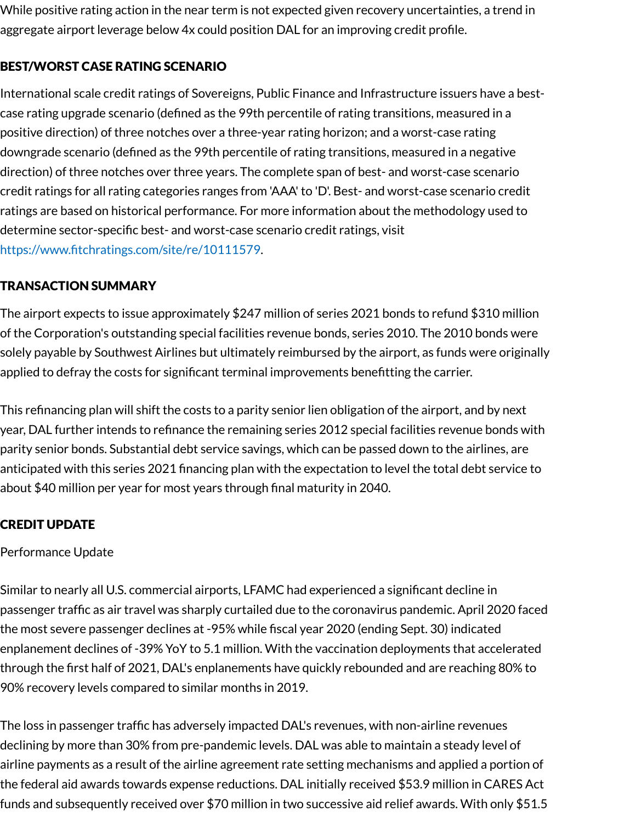While positive rating action in the near term is not expected given recovery uncertainties, a trend in aggregate airport leverage below 4x could position DAL for an improving credit profile.

# BEST/WORST CASE RATING SCENARIO

International scale credit ratings of Sovereigns, Public Finance and Infrastructure issuers have a bestcase rating upgrade scenario (defined as the 99th percentile of rating transitions, measured in a positive direction) of three notches over a three-year rating horizon; and a worst-case rating downgrade scenario (defined as the 99th percentile of rating transitions, measured in a negative direction) of three notches over three years. The complete span of best- and worst-case scenario credit ratings for all rating categories ranges from 'AAA' to 'D'. Best- and worst-case scenario credit ratings are based on historical performance. For more information about the methodology used to determine sector-specific best- and worst-case scenario credit ratings, visit [https://www.fitchratings.com/site/re/10111579.](https://www.fitchratings.com/site/re/10111579)

# TRANSACTION SUMMARY

The airport expects to issue approximately \$247 million of series 2021 bonds to refund \$310 million of the Corporation's outstanding special facilities revenue bonds, series 2010. The 2010 bonds were solely payable by Southwest Airlines but ultimately reimbursed by the airport, as funds were originally applied to defray the costs for significant terminal improvements benefitting the carrier.

This refinancing plan will shift the costs to a parity senior lien obligation of the airport, and by next year, DAL further intends to refinance the remaining series 2012 special facilities revenue bonds with parity senior bonds. Substantial debt service savings, which can be passed down to the airlines, are anticipated with this series 2021 financing plan with the expectation to level the total debt service to about \$40 million per year for most years through final maturity in 2040.

# CREDIT UPDATE

#### Performance Update

Similar to nearly all U.S. commercial airports, LFAMC had experienced a significant decline in passenger traffic as air travel was sharply curtailed due to the coronavirus pandemic. April 2020 faced the most severe passenger declines at -95% while fiscal year 2020 (ending Sept. 30) indicated enplanement declines of -39% YoY to 5.1 million. With the vaccination deployments that accelerated through the first half of 2021, DAL's enplanements have quickly rebounded and are reaching 80% to 90% recovery levels compared to similar months in 2019.

The loss in passenger traffic has adversely impacted DAL's revenues, with non-airline revenues declining by more than 30% from pre-pandemic levels. DAL was able to maintain a steady level of airline payments as a result of the airline agreement rate setting mechanisms and applied a portion of the federal aid awards towards expense reductions. DAL initially received \$53.9 million in CARES Act funds and subsequently received over \$70 million in two successive aid relief awards. With only \$51.5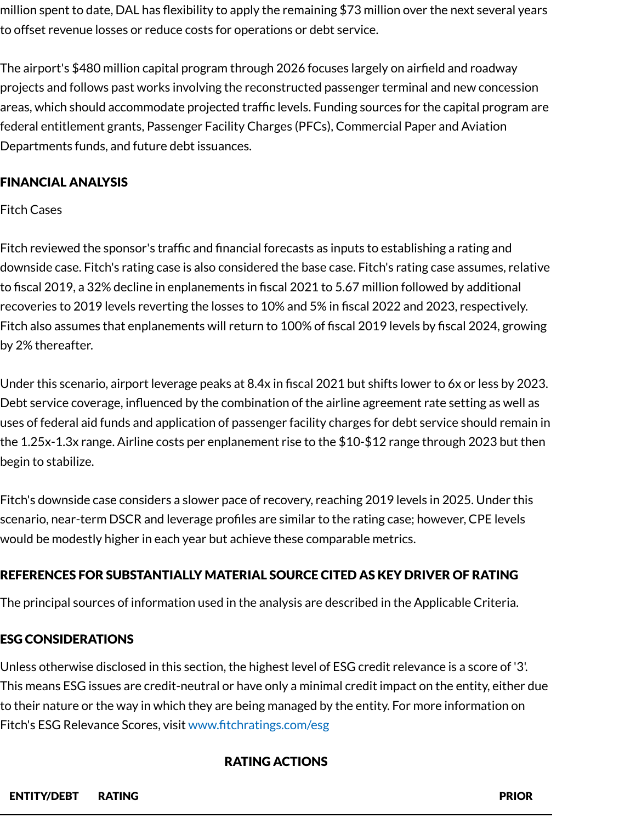million spent to date, DAL has flexibility to apply the remaining \$73 million over the next several years to offset revenue losses or reduce costs for operations or debt service.

The airport's \$480 million capital program through 2026 focuses largely on airfield and roadway projects and follows past works involving the reconstructed passenger terminal and new concession areas, which should accommodate projected traffic levels. Funding sources for the capital program are federal entitlement grants, Passenger Facility Charges (PFCs), Commercial Paper and Aviation Departments funds, and future debt issuances.

# FINANCIAL ANALYSIS

Fitch Cases

Fitch reviewed the sponsor's traffic and financial forecasts as inputs to establishing a rating and downside case. Fitch's rating case is also considered the base case. Fitch's rating case assumes, relative to fiscal 2019, a 32% decline in enplanements in fiscal 2021 to 5.67 million followed by additional recoveries to 2019 levels reverting the losses to 10% and 5% in fiscal 2022 and 2023, respectively. Fitch also assumes that enplanements will return to 100% of fiscal 2019 levels by fiscal 2024, growing by 2% thereafter.

Under this scenario, airport leverage peaks at 8.4x in fiscal 2021 but shifts lower to 6x or less by 2023. Debt service coverage, influenced by the combination of the airline agreement rate setting as well as uses of federal aid funds and application of passenger facility charges for debt service should remain in the 1.25x-1.3x range. Airline costs per enplanement rise to the \$10-\$12 range through 2023 but then begin to stabilize.

Fitch's downside case considers a slower pace of recovery, reaching 2019 levels in 2025. Under this scenario, near-term DSCR and leverage profiles are similar to the rating case; however, CPE levels would be modestly higher in each year but achieve these comparable metrics.

# REFERENCES FOR SUBSTANTIALLY MATERIAL SOURCE CITED AS KEY DRIVER OF RATING

The principal sources of information used in the analysis are described in the Applicable Criteria.

# ESG CONSIDERATIONS

Unless otherwise disclosed in this section, the highest level of ESG credit relevance is a score of '3'. This means ESG issues are credit-neutral or have only a minimal credit impact on the entity, either due to their nature or the way in which they are being managed by the entity. For more information on Fitch's ESG Relevance Scores, visit [www.fitchratings.com/esg](http://www.fitchratings.com/esg)

#### RATING ACTIONS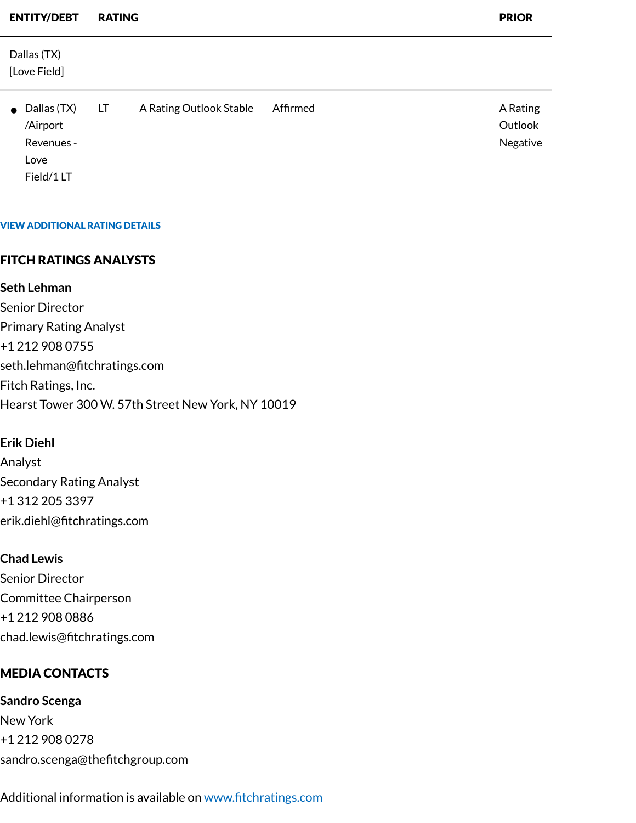| <b>ENTITY/DEBT</b>                                                   | <b>RATING</b> |                         |          | <b>PRIOR</b>                    |
|----------------------------------------------------------------------|---------------|-------------------------|----------|---------------------------------|
| Dallas (TX)<br>[Love Field]                                          |               |                         |          |                                 |
| $\bullet$ Dallas (TX)<br>/Airport<br>Revenues -<br>Love<br>Field/1LT | LT            | A Rating Outlook Stable | Affirmed | A Rating<br>Outlook<br>Negative |

#### VIEW ADDITIONAL RATING DETAILS

#### FITCH RATINGS ANALYSTS

**Seth Lehman**

Senior Director Primary Rating Analyst +1 212 908 0755 seth.lehman@fitchratings.com Fitch Ratings, Inc. Hearst Tower 300 W. 57th Street New York, NY 10019

#### **Erik Diehl**

Analyst Secondary Rating Analyst +1 312 205 3397 erik.diehl@fitchratings.com

#### **Chad Lewis**

Senior Director Committee Chairperson +1 212 908 0886 chad.lewis@fitchratings.com

#### MEDIA CONTACTS

**Sandro Scenga** New York +1 212 908 0278 sandro.scenga@thefitchgroup.com

Additional information is available on [www.fitchratings.com](http://www.fitchratings.com/)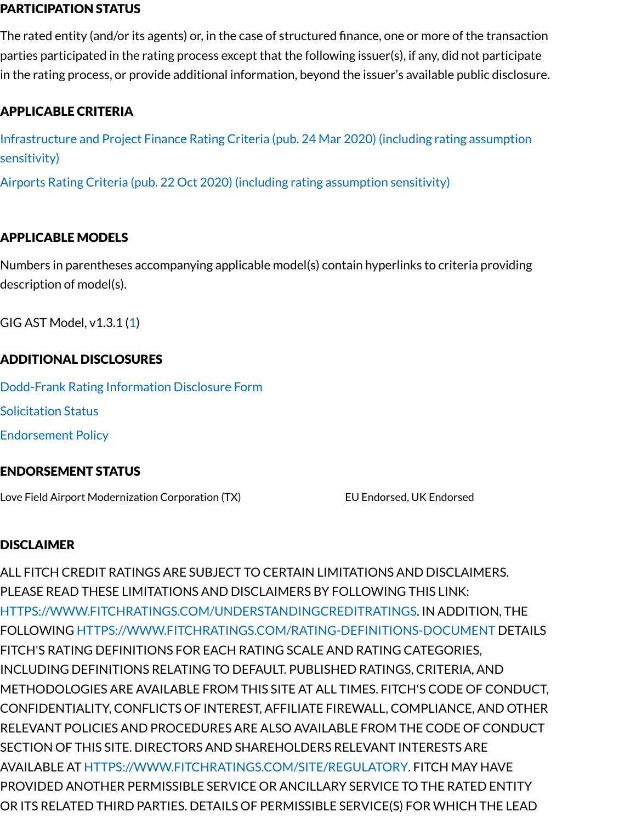#### PARTICIPATION STATUS

The rated entity (and/or its agents) or, in the case of structured finance, one or more of the transaction parties participated in the rating process except that the following issuer(s), if any, did not participate in the rating process, or provide additional information, beyond the issuer's available public disclosure.

# APPLICABLE CRITERIA

[Infrastructure](https://www.fitchratings.com/research/infrastructure-project-finance/infrastructure-project-finance-rating-criteria-24-03-2020) and Project Finance Rating Criteria (pub. 24 Mar 2020) (including rating assumption sensitivity)

Airports Rating Criteria (pub. 22 Oct 2020) (including rating [assumption](https://www.fitchratings.com/research/us-public-finance/airports-rating-criteria-22-10-2020) sensitivity)

# APPLICABLE MODELS

Numbers in parentheses accompanying applicable model(s) contain hyperlinks to criteria providing description of model(s).

GIG AST Model, v1.3.1 [\(1](https://www.fitchratings.com/research/infrastructure-project-finance/infrastructure-project-finance-rating-criteria-24-03-2020))

### ADDITIONAL DISCLOSURES

[Dodd-Frank](https://www.fitchratings.com/research/us-public-finance/fitch-rates-dallas-love-field-airport-tx-senior-revs-at-a-outlook-revised-to-stable-13-08-2021/dodd-frank-disclosure) Rating Information Disclosure Form

Solicitation Status

Endorsement Policy

#### ENDORSEMENT STATUS

Love Field Airport Modernization Corporation (TX) Fig. 2014 2014 EU Endorsed, UK Endorsed

#### DISCLAIMER

ALL FITCH CREDIT RATINGS ARE SUBJECT TO CERTAIN LIMITATIONS AND DISCLAIMERS. PLEASE READ THESE LIMITATIONS AND DISCLAIMERS BY FOLLOWING THIS LINK: [HTTPS://WWW.FITCHRATINGS.COM/UNDERSTANDINGCREDITRATINGS](https://www.fitchratings.com/UNDERSTANDINGCREDITRATINGS). IN ADDITION, THE FOLLOWING [HTTPS://WWW.FITCHRATINGS.COM/RATING-DEFINITIONS-DOCUMENT](https://www.fitchratings.com/rating-definitions-document) DETAILS FITCH'S RATING DEFINITIONS FOR EACH RATING SCALE AND RATING CATEGORIES, INCLUDING DEFINITIONS RELATING TO DEFAULT. PUBLISHED RATINGS, CRITERIA, AND METHODOLOGIES ARE AVAILABLE FROM THIS SITE AT ALL TIMES. FITCH'S CODE OF CONDUCT, CONFIDENTIALITY, CONFLICTS OF INTEREST, AFFILIATE FIREWALL, COMPLIANCE, AND OTHER RELEVANT POLICIES AND PROCEDURES ARE ALSO AVAILABLE FROM THE CODE OF CONDUCT SECTION OF THIS SITE. DIRECTORS AND SHAREHOLDERS RELEVANT INTERESTS ARE AVAILABLE AT [HTTPS://WWW.FITCHRATINGS.COM/SITE/REGULATORY](https://www.fitchratings.com/site/regulatory). FITCH MAY HAVE PROVIDED ANOTHER PERMISSIBLE SERVICE OR ANCILLARY SERVICE TO THE RATED ENTITY OR ITS RELATED THIRD PARTIES. DETAILS OF PERMISSIBLE SERVICE(S) FOR WHICH THE LEAD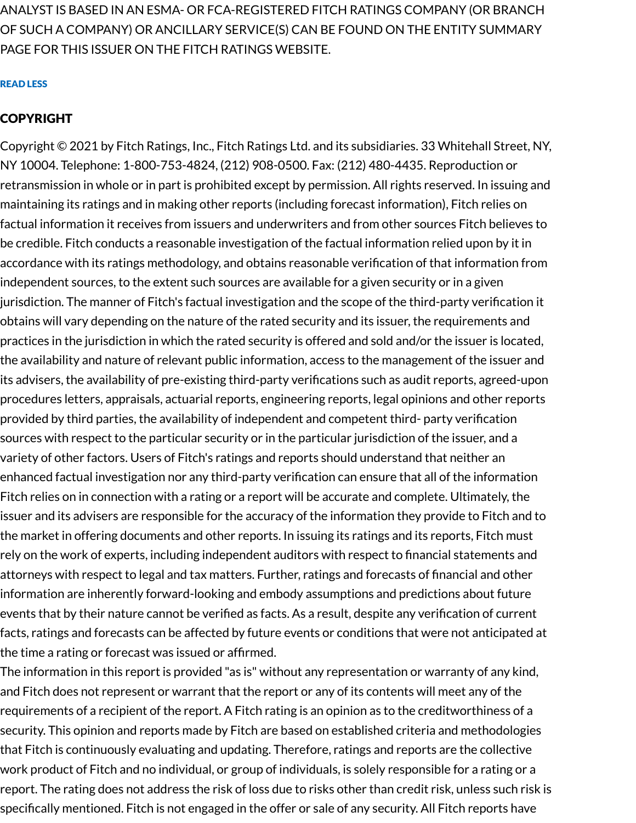ANALYST IS BASED IN AN ESMA- OR FCA-REGISTERED FITCH RATINGS COMPANY (OR BRANCH OF SUCH A COMPANY) OR ANCILLARY SERVICE(S) CAN BE FOUND ON THE ENTITY SUMMARY PAGE FOR THIS ISSUER ON THE FITCH RATINGS WEBSITE.

#### READ LESS

#### COPYRIGHT

Copyright © 2021 by Fitch Ratings, Inc., Fitch Ratings Ltd. and its subsidiaries. 33 Whitehall Street, NY, NY 10004. Telephone: 1-800-753-4824, (212) 908-0500. Fax: (212) 480-4435. Reproduction or retransmission in whole or in part is prohibited except by permission. All rights reserved. In issuing and maintaining its ratings and in making other reports (including forecast information), Fitch relies on factual information it receives from issuers and underwriters and from other sources Fitch believes to be credible. Fitch conducts a reasonable investigation of the factual information relied upon by it in accordance with its ratings methodology, and obtains reasonable verification of that information from independent sources, to the extent such sources are available for a given security or in a given jurisdiction. The manner of Fitch's factual investigation and the scope of the third-party verification it obtains will vary depending on the nature of the rated security and its issuer, the requirements and practices in the jurisdiction in which the rated security is offered and sold and/or the issuer is located, the availability and nature of relevant public information, access to the management of the issuer and its advisers, the availability of pre-existing third-party verifications such as audit reports, agreed-upon procedures letters, appraisals, actuarial reports, engineering reports, legal opinions and other reports provided by third parties, the availability of independent and competent third- party verification sources with respect to the particular security or in the particular jurisdiction of the issuer, and a variety of other factors. Users of Fitch's ratings and reports should understand that neither an enhanced factual investigation nor any third-party verification can ensure that all of the information Fitch relies on in connection with a rating or a report will be accurate and complete. Ultimately, the issuer and its advisers are responsible for the accuracy of the information they provide to Fitch and to the market in offering documents and other reports. In issuing its ratings and its reports, Fitch must rely on the work of experts, including independent auditors with respect to financial statements and attorneys with respect to legal and tax matters. Further, ratings and forecasts of financial and other information are inherently forward-looking and embody assumptions and predictions about future events that by their nature cannot be verified as facts. As a result, despite any verification of current facts, ratings and forecasts can be affected by future events or conditions that were not anticipated at the time a rating or forecast was issued or affirmed.

The information in this report is provided "as is" without any representation or warranty of any kind, and Fitch does not represent or warrant that the report or any of its contents will meet any of the requirements of a recipient of the report. A Fitch rating is an opinion as to the creditworthiness of a security. This opinion and reports made by Fitch are based on established criteria and methodologies that Fitch is continuously evaluating and updating. Therefore, ratings and reports are the collective work product of Fitch and no individual, or group of individuals, is solely responsible for a rating or a report. The rating does not address the risk of loss due to risks other than credit risk, unless such risk is specifically mentioned. Fitch is not engaged in the offer or sale of any security. All Fitch reports have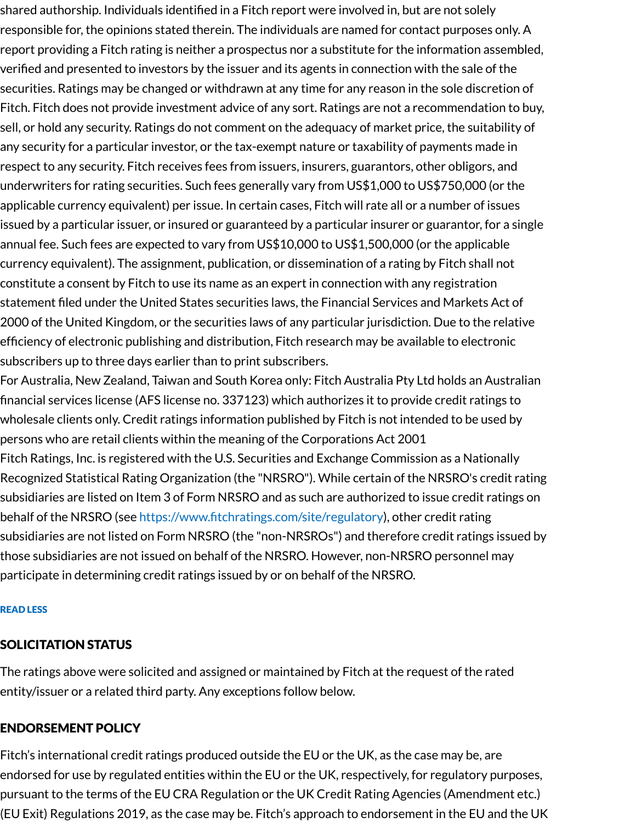shared authorship. Individuals identified in a Fitch report were involved in, but are not solely responsible for, the opinions stated therein. The individuals are named for contact purposes only. A report providing a Fitch rating is neither a prospectus nor a substitute for the information assembled, verified and presented to investors by the issuer and its agents in connection with the sale of the securities. Ratings may be changed or withdrawn at any time for any reason in the sole discretion of Fitch. Fitch does not provide investment advice of any sort. Ratings are not a recommendation to buy, sell, or hold any security. Ratings do not comment on the adequacy of market price, the suitability of any security for a particular investor, or the tax-exempt nature or taxability of payments made in respect to any security. Fitch receives fees from issuers, insurers, guarantors, other obligors, and underwriters for rating securities. Such fees generally vary from US\$1,000 to US\$750,000 (or the applicable currency equivalent) per issue. In certain cases, Fitch will rate all or a number of issues issued by a particular issuer, or insured or guaranteed by a particular insurer or guarantor, for a single annual fee. Such fees are expected to vary from US\$10,000 to US\$1,500,000 (or the applicable currency equivalent). The assignment, publication, or dissemination of a rating by Fitch shall not constitute a consent by Fitch to use its name as an expert in connection with any registration statement filed under the United States securities laws, the Financial Services and Markets Act of 2000 of the United Kingdom, or the securities laws of any particular jurisdiction. Due to the relative efficiency of electronic publishing and distribution, Fitch research may be available to electronic subscribers up to three days earlier than to print subscribers.

For Australia, New Zealand, Taiwan and South Korea only: Fitch Australia Pty Ltd holds an Australian financial services license (AFS license no. 337123) which authorizes it to provide credit ratings to wholesale clients only. Credit ratings information published by Fitch is not intended to be used by persons who are retail clients within the meaning of the Corporations Act 2001 Fitch Ratings, Inc. is registered with the U.S. Securities and Exchange Commission as a Nationally

Recognized Statistical Rating Organization (the "NRSRO"). While certain of the NRSRO's credit rating subsidiaries are listed on Item 3 of Form NRSRO and as such are authorized to issue credit ratings on behalf of the NRSRO (see <https://www.fitchratings.com/site/regulatory>), other credit rating subsidiaries are not listed on Form NRSRO (the "non-NRSROs") and therefore credit ratings issued by those subsidiaries are not issued on behalf of the NRSRO. However, non-NRSRO personnel may participate in determining credit ratings issued by or on behalf of the NRSRO.

#### READ LESS

# SOLICITATION STATUS

The ratings above were solicited and assigned or maintained by Fitch at the request of the rated entity/issuer or a related third party. Any exceptions follow below.

# ENDORSEMENT POLICY

Fitch's international credit ratings produced outside the EU or the UK, as the case may be, are endorsed for use by regulated entities within the EU or the UK, respectively, for regulatory purposes, pursuant to the terms of the EU CRA Regulation or the UK Credit Rating Agencies (Amendment etc.) (EU Exit) Regulations 2019, as the case may be. Fitch's approach to endorsement in the EU and the UK